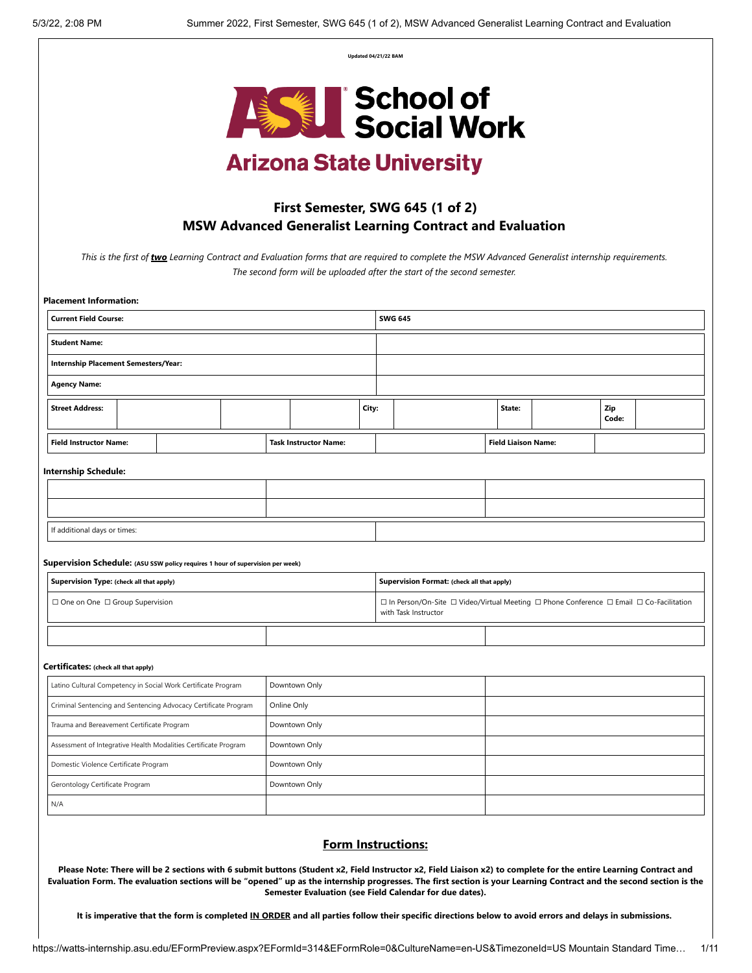**Updated 04/21/22 BAM**



# **Arizona State University**

## **First Semester, SWG 645 (1 of 2) MSW Advanced Generalist Learning Contract and Evaluation**

*This is the first of two Learning Contract and Evaluation forms that are required to complete the MSW Advanced Generalist internship requirements. The second form will be uploaded after the start of the second semester.* 

| <b>Current Field Course:</b>                                                   |  |             |                              |       | <b>SWG 645</b> |                                                                                                                  |  |  |                            |  |  |              |  |  |
|--------------------------------------------------------------------------------|--|-------------|------------------------------|-------|----------------|------------------------------------------------------------------------------------------------------------------|--|--|----------------------------|--|--|--------------|--|--|
| <b>Student Name:</b>                                                           |  |             |                              |       |                |                                                                                                                  |  |  |                            |  |  |              |  |  |
| <b>Internship Placement Semesters/Year:</b>                                    |  |             |                              |       |                |                                                                                                                  |  |  |                            |  |  |              |  |  |
| <b>Agency Name:</b>                                                            |  |             |                              |       |                |                                                                                                                  |  |  |                            |  |  |              |  |  |
| <b>Street Address:</b>                                                         |  |             |                              | City: |                |                                                                                                                  |  |  | State:                     |  |  | Zip<br>Code: |  |  |
| <b>Field Instructor Name:</b>                                                  |  |             | <b>Task Instructor Name:</b> |       |                |                                                                                                                  |  |  | <b>Field Liaison Name:</b> |  |  |              |  |  |
| <b>Internship Schedule:</b>                                                    |  |             |                              |       |                |                                                                                                                  |  |  |                            |  |  |              |  |  |
|                                                                                |  |             |                              |       |                |                                                                                                                  |  |  |                            |  |  |              |  |  |
|                                                                                |  |             |                              |       |                |                                                                                                                  |  |  |                            |  |  |              |  |  |
| If additional days or times:                                                   |  |             |                              |       |                |                                                                                                                  |  |  |                            |  |  |              |  |  |
|                                                                                |  |             |                              |       |                |                                                                                                                  |  |  |                            |  |  |              |  |  |
| Supervision Schedule: (ASU SSW policy requires 1 hour of supervision per week) |  |             |                              |       |                |                                                                                                                  |  |  |                            |  |  |              |  |  |
| Supervision Type: (check all that apply)                                       |  |             |                              |       |                | Supervision Format: (check all that apply)                                                                       |  |  |                            |  |  |              |  |  |
| $\Box$ One on One $\Box$ Group Supervision                                     |  |             |                              |       |                | □ In Person/On-Site □ Video/Virtual Meeting □ Phone Conference □ Email □ Co-Facilitation<br>with Task Instructor |  |  |                            |  |  |              |  |  |
|                                                                                |  |             |                              |       |                |                                                                                                                  |  |  |                            |  |  |              |  |  |
| Certificates: (check all that apply)                                           |  |             |                              |       |                |                                                                                                                  |  |  |                            |  |  |              |  |  |
| Latino Cultural Competency in Social Work Certificate Program                  |  |             | Downtown Only                |       |                |                                                                                                                  |  |  |                            |  |  |              |  |  |
| Criminal Sentencing and Sentencing Advocacy Certificate Program                |  | Online Only |                              |       |                |                                                                                                                  |  |  |                            |  |  |              |  |  |
| Trauma and Bereavement Certificate Program                                     |  |             | Downtown Only                |       |                |                                                                                                                  |  |  |                            |  |  |              |  |  |
| Assessment of Integrative Health Modalities Certificate Program                |  |             | Downtown Only                |       |                |                                                                                                                  |  |  |                            |  |  |              |  |  |
| Domestic Violence Certificate Program                                          |  |             | Downtown Only                |       |                |                                                                                                                  |  |  |                            |  |  |              |  |  |
| Gerontology Certificate Program                                                |  |             | Downtown Only                |       |                |                                                                                                                  |  |  |                            |  |  |              |  |  |

### **Form Instructions:**

Please Note: There will be 2 sections with 6 submit buttons (Student x2, Field Instructor x2, Field Liaison x2) to complete for the entire Learning Contract and Evaluation Form. The evaluation sections will be "opened" up as the internship progresses. The first section is your Learning Contract and the second section is the **Semester Evaluation (see Field Calendar for due dates).**

It is imperative that the form is completed IN ORDER and all parties follow their specific directions below to avoid errors and delays in submissions.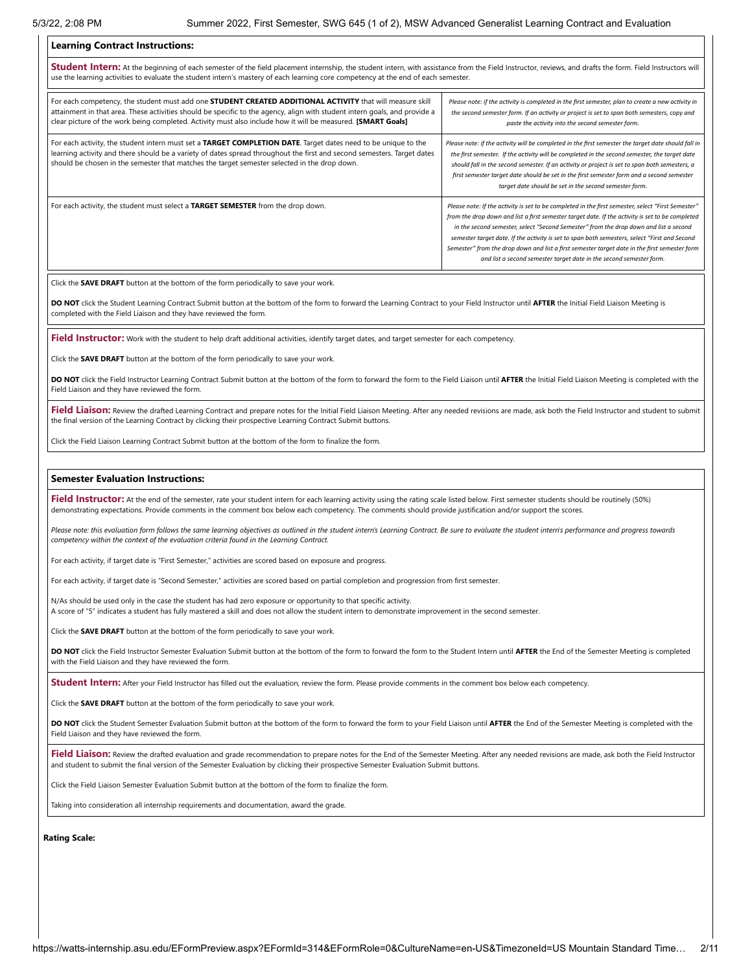### **Learning Contract Instructions:**

**Student Intern:** At the beginning of each semester of the field placement internship, the student intern, with assistance from the Field Instructor, reviews, and drafts the form. Field Instructors will use the learning activities to evaluate the student intern's mastery of each learning core competency at the end of each semester

| For each competency, the student must add one STUDENT CREATED ADDITIONAL ACTIVITY that will measure skill<br>attainment in that area. These activities should be specific to the agency, align with student intern goals, and provide a<br>clear picture of the work being completed. Activity must also include how it will be measured. [SMART Goals] | Please note: if the activity is completed in the first semester, plan to create a new activity in<br>the second semester form. If an activity or project is set to span both semesters, copy and<br>paste the activity into the second semester form.                                                                                                                                                                                                                                                                                                                    |
|---------------------------------------------------------------------------------------------------------------------------------------------------------------------------------------------------------------------------------------------------------------------------------------------------------------------------------------------------------|--------------------------------------------------------------------------------------------------------------------------------------------------------------------------------------------------------------------------------------------------------------------------------------------------------------------------------------------------------------------------------------------------------------------------------------------------------------------------------------------------------------------------------------------------------------------------|
| For each activity, the student intern must set a TARGET COMPLETION DATE. Target dates need to be unique to the<br>learning activity and there should be a variety of dates spread throughout the first and second semesters. Target dates<br>should be chosen in the semester that matches the target semester selected in the drop down.               | Please note: if the activity will be completed in the first semester the target date should fall in<br>the first semester. If the activity will be completed in the second semester, the target date<br>should fall in the second semester. If an activity or project is set to span both semesters, a<br>first semester target date should be set in the first semester form and a second semester<br>target date should be set in the second semester form.                                                                                                            |
| For each activity, the student must select a TARGET SEMESTER from the drop down.                                                                                                                                                                                                                                                                        | Please note: If the activity is set to be completed in the first semester, select "First Semester"<br>from the drop down and list a first semester target date. If the activity is set to be completed<br>in the second semester, select "Second Semester" from the drop down and list a second<br>semester target date. If the activity is set to span both semesters, select "First and Second<br>Semester" from the drop down and list a first semester target date in the first semester form<br>and list a second semester target date in the second semester form. |

Click the **SAVE DRAFT** button at the bottom of the form periodically to save your work.

**DO NOT** click the Student Learning Contract Submit button at the bottom of the form to forward the Learning Contract to your Field Instructor until **AFTER** the Initial Field Liaison Meeting is completed with the Field Liaison and they have reviewed the form.

**Field Instructor:** Work with the student to help draft additional activities, identify target dates, and target semester for each competency.

Click the **SAVE DRAFT** button at the bottom of the form periodically to save your work.

**DO NOT** click the Field Instructor Learning Contract Submit button at the bottom of the form to forward the form to the Field Liaison until **AFTER** the Initial Field Liaison Meeting is completed with the Field Liaison and they have reviewed the form.

Field Liaison: Review the drafted Learning Contract and prepare notes for the Initial Field Liaison Meeting. After any needed revisions are made, ask both the Field Instructor and student to submit the final version of the Learning Contract by clicking their prospective Learning Contract Submit buttons.

Click the Field Liaison Learning Contract Submit button at the bottom of the form to finalize the form.

### **Semester Evaluation Instructions:**

Field Instructor: At the end of the semester, rate your student intern for each learning activity using the rating scale listed below. First semester students should be routinely (50%) demonstrating expectations. Provide comments in the comment box below each competency. The comments should provide justification and/or support the scores.

Please note: this evaluation form follows the same learning objectives as outlined in the student intern's Learning Contract. Be sure to evaluate the student intern's performance and progress towards *competency within the context of the evaluation criteria found in the Learning Contract.*

For each activity, if target date is "First Semester," activities are scored based on exposure and progress.

For each activity, if target date is "Second Semester," activities are scored based on partial completion and progression from first semester.

N/As should be used only in the case the student has had zero exposure or opportunity to that specific activity. A score of "5" indicates a student has fully mastered a skill and does not allow the student intern to demonstrate improvement in the second semester.

Click the **SAVE DRAFT** button at the bottom of the form periodically to save your work.

**DO NOT** click the Field Instructor Semester Evaluation Submit button at the bottom of the form to forward the form to the Student Intern until **AFTER** the End of the Semester Meeting is completed with the Field Liaison and they have reviewed the form.

**Student Intern:** After your Field Instructor has filled out the evaluation, review the form. Please provide comments in the comment box below each competency.

Click the **SAVE DRAFT** button at the bottom of the form periodically to save your work.

**DO NOT** click the Student Semester Evaluation Submit button at the bottom of the form to forward the form to your Field Liaison until **AFTER** the End of the Semester Meeting is completed with the Field Liaison and they have reviewed the form.

Field Liaison: Review the drafted evaluation and grade recommendation to prepare notes for the End of the Semester Meeting. After any needed revisions are made, ask both the Field Instructor and student to submit the final version of the Semester Evaluation by clicking their prospective Semester Evaluation Submit buttons.

Click the Field Liaison Semester Evaluation Submit button at the bottom of the form to finalize the form.

Taking into consideration all internship requirements and documentation, award the grade.

**Rating Scale:**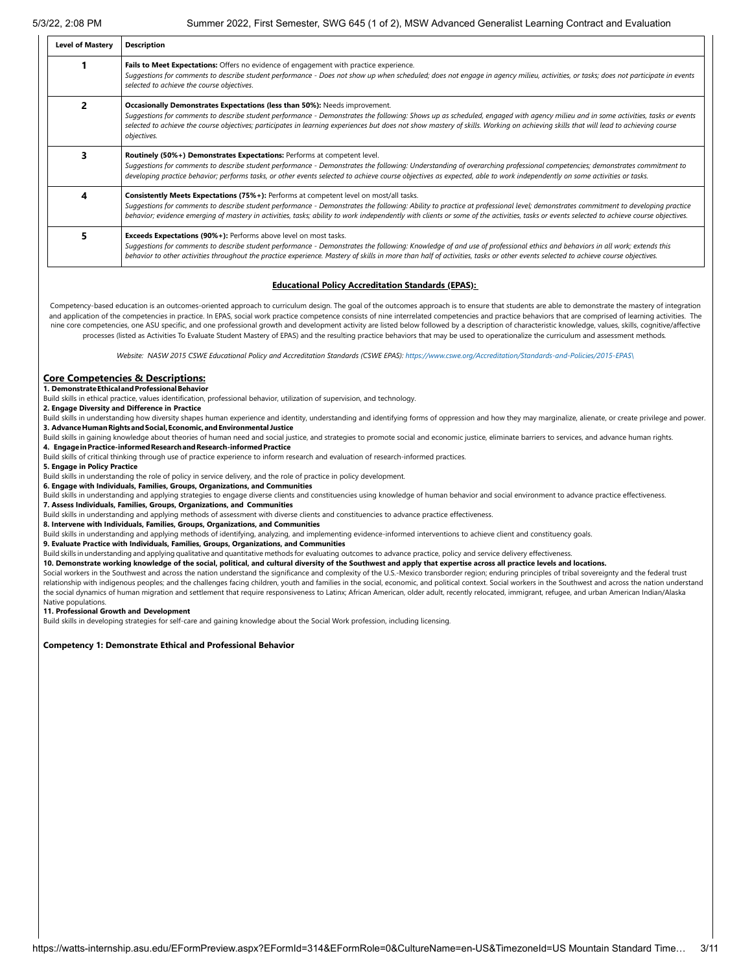| <b>Level of Mastery</b> | <b>Description</b>                                                                                                                                                                                                                                                                                                                                                                                                                                                      |
|-------------------------|-------------------------------------------------------------------------------------------------------------------------------------------------------------------------------------------------------------------------------------------------------------------------------------------------------------------------------------------------------------------------------------------------------------------------------------------------------------------------|
|                         | Fails to Meet Expectations: Offers no evidence of engagement with practice experience.<br>Suggestions for comments to describe student performance - Does not show up when scheduled; does not engage in agency milieu, activities, or tasks; does not participate in events<br>selected to achieve the course objectives.                                                                                                                                              |
|                         | Occasionally Demonstrates Expectations (less than 50%): Needs improvement.<br>Suggestions for comments to describe student performance - Demonstrates the following: Shows up as scheduled, engaged with agency milieu and in some activities, tasks or events<br>selected to achieve the course objectives; participates in learning experiences but does not show mastery of skills. Working on achieving skills that will lead to achieving course<br>objectives.    |
|                         | Routinely (50%+) Demonstrates Expectations: Performs at competent level.<br>Suggestions for comments to describe student performance - Demonstrates the following: Understanding of overarching professional competencies; demonstrates commitment to<br>developing practice behavior; performs tasks, or other events selected to achieve course objectives as expected, able to work independently on some activities or tasks.                                       |
| 4                       | Consistently Meets Expectations (75%+): Performs at competent level on most/all tasks.<br>Suggestions for comments to describe student performance - Demonstrates the following: Ability to practice at professional level; demonstrates commitment to developing practice<br>behavior; evidence emerging of mastery in activities, tasks; ability to work independently with clients or some of the activities, tasks or events selected to achieve course objectives. |
|                         | Exceeds Expectations (90%+): Performs above level on most tasks.<br>Suggestions for comments to describe student performance - Demonstrates the following: Knowledge of and use of professional ethics and behaviors in all work; extends this<br>behavior to other activities throughout the practice experience. Mastery of skills in more than half of activities, tasks or other events selected to achieve course objectives.                                      |

#### **Educational Policy Accreditation Standards (EPAS):**

Competency-based education is an outcomes-oriented approach to curriculum design. The goal of the outcomes approach is to ensure that students are able to demonstrate the mastery of integration and application of the competencies in practice. In EPAS, social work practice competence consists of nine interrelated competencies and practice behaviors that are comprised of learning activities. The nine core competencies, one ASU specific, and one professional growth and development activity are listed below followed by a description of characteristic knowledge, values, skills, cognitive/affective processes (listed as Activities To Evaluate Student Mastery of EPAS) and the resulting practice behaviors that may be used to operationalize the curriculum and assessment methods*.*

*Website: NASW 2015 CSWE Educational Policy and Accreditation Standards (CSWE EPAS): [https://www.cswe.org/Accreditation/Standards-and-Policies/2015-EPAS\](https://www.cswe.org/Accreditation/Standards-and-Policies/2015-EPAS/)*

### **Core Competencies & Descriptions:**

**1. DemonstrateEthicalandProfessionalBehavior**

Build skills in ethical practice, values identification, professional behavior, utilization of supervision, and technology.

#### **2. Engage Diversity and Difference in Practice**

Build skills in understanding how diversity shapes human experience and identity, understanding and identifying forms of oppression and how they may marginalize, alienate, or create privilege and power. **3. AdvanceHumanRightsandSocial,Economic,andEnvironmental Justice**

Build skills in gaining knowledge about theories of human need and social justice, and strategies to promote social and economic justice, eliminate barriers to services, and advance human rights.

**4. EngageinPractice-informedResearchandResearch-informedPractice**

Build skills of critical thinking through use of practice experience to inform research and evaluation of research-informed practices.

**5. Engage in Policy Practice**

Build skills in understanding the role of policy in service delivery, and the role of practice in policy development.

**6. Engage with Individuals, Families, Groups, Organizations, and Communities**

Build skills in understanding and applying strategies to engage diverse clients and constituencies using knowledge of human behavior and social environment to advance practice effectiveness. **7. Assess Individuals, Families, Groups, Organizations, and Communities**

Build skills in understanding and applying methods of assessment with diverse clients and constituencies to advance practice effectiveness.

**8. Intervene with Individuals, Families, Groups, Organizations, and Communities**

Build skills in understanding and applying methods of identifying, analyzing, and implementing evidence-informed interventions to achieve client and constituency goals.

**9. Evaluate Practice with Individuals, Families, Groups, Organizations, and Communities**

Build skills in understanding and applying qualitative and quantitative methods for evaluating outcomes to advance practice, policy and service delivery effectiveness.

**10. Demonstrate working knowledge of the social, political, and cultural diversity of the Southwest and apply that expertise across all practice levels and locations.**

Social workers in the Southwest and across the nation understand the significance and complexity of the U.S.-Mexico transborder region; enduring principles of tribal sovereignty and the federal trust relationship with indigenous peoples; and the challenges facing children, youth and families in the social, economic, and political context. Social workers in the Southwest and across the nation understand the social dynamics of human migration and settlement that require responsiveness to Latinx; African American, older adult, recently relocated, immigrant, refugee, and urban American Indian/Alaska Native populations.

#### **11. Professional Growth and Development**

Build skills in developing strategies for self-care and gaining knowledge about the Social Work profession, including licensing.

### **Competency 1: Demonstrate Ethical and Professional Behavior**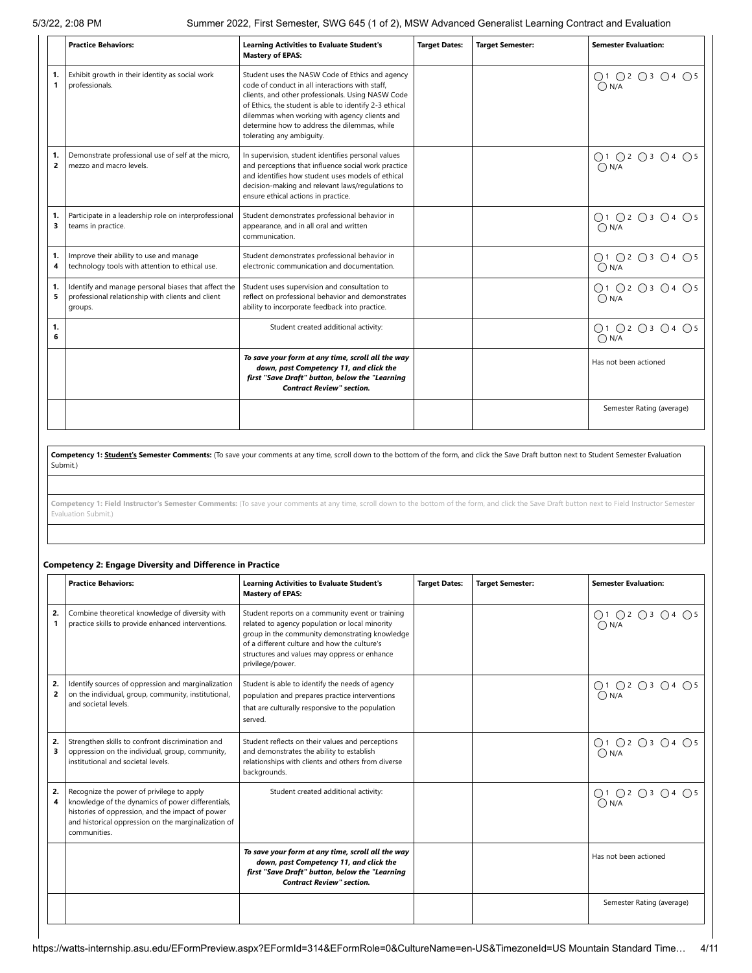5/3/22, 2:08 PM Summer 2022, First Semester, SWG 645 (1 of 2), MSW Advanced Generalist Learning Contract and Evaluation

|                      | <b>Practice Behaviors:</b>                                                                                          | <b>Learning Activities to Evaluate Student's</b><br><b>Mastery of EPAS:</b>                                                                                                                                                                                                                                                                     | <b>Target Dates:</b> | <b>Target Semester:</b> | <b>Semester Evaluation:</b>     |
|----------------------|---------------------------------------------------------------------------------------------------------------------|-------------------------------------------------------------------------------------------------------------------------------------------------------------------------------------------------------------------------------------------------------------------------------------------------------------------------------------------------|----------------------|-------------------------|---------------------------------|
| 1.<br>$\mathbf{1}$   | Exhibit growth in their identity as social work<br>professionals.                                                   | Student uses the NASW Code of Ethics and agency<br>code of conduct in all interactions with staff.<br>clients, and other professionals. Using NASW Code<br>of Ethics, the student is able to identify 2-3 ethical<br>dilemmas when working with agency clients and<br>determine how to address the dilemmas, while<br>tolerating any ambiguity. |                      |                         | ○1 ○2 ○3 ○4 ○5<br>$\bigcap N/A$ |
| 1.<br>$\overline{2}$ | Demonstrate professional use of self at the micro,<br>mezzo and macro levels.                                       | In supervision, student identifies personal values<br>and perceptions that influence social work practice<br>and identifies how student uses models of ethical<br>decision-making and relevant laws/regulations to<br>ensure ethical actions in practice.                                                                                       |                      |                         | 01 02 03 04 05<br>0N/A          |
| 1.<br>3              | Participate in a leadership role on interprofessional<br>teams in practice.                                         | Student demonstrates professional behavior in<br>appearance, and in all oral and written<br>communication.                                                                                                                                                                                                                                      |                      |                         | O1 O2 O3 O4 O5<br>$\bigcap N/A$ |
| 1.<br>4              | Improve their ability to use and manage<br>technology tools with attention to ethical use.                          | Student demonstrates professional behavior in<br>electronic communication and documentation.                                                                                                                                                                                                                                                    |                      |                         | ○1 ○2 ○3 ○4 ○5<br>$\bigcap N/A$ |
| 1.<br>5              | Identify and manage personal biases that affect the<br>professional relationship with clients and client<br>groups. | Student uses supervision and consultation to<br>reflect on professional behavior and demonstrates<br>ability to incorporate feedback into practice.                                                                                                                                                                                             |                      |                         | ○1 ○2 ○3 ○4 ○5<br>O N/A         |
| 1.<br>6              |                                                                                                                     | Student created additional activity:                                                                                                                                                                                                                                                                                                            |                      |                         | ○1 ○2 ○3 ○4 ○5<br>$\bigcap N/A$ |
|                      |                                                                                                                     | To save your form at any time, scroll all the way<br>down, past Competency 11, and click the<br>first "Save Draft" button, below the "Learning<br><b>Contract Review" section.</b>                                                                                                                                                              |                      |                         | Has not been actioned           |
|                      |                                                                                                                     |                                                                                                                                                                                                                                                                                                                                                 |                      |                         | Semester Rating (average)       |

Competency 1: **Student's Semester Comments:** (To save your comments at any time, scroll down to the bottom of the form, and click the Save Draft button next to Student Semester Evaluation Submit.)

**Competency 1: Field Instructor's Semester Comments:** (To save your comments at any time, scroll down to the bottom of the form, and click the Save Draft button next to Field Instructor Semester Evaluation Submit.)

### **Competency 2: Engage Diversity and Difference in Practice**

|                      | <b>Practice Behaviors:</b>                                                                                                                                                                                                | <b>Learning Activities to Evaluate Student's</b><br><b>Mastery of EPAS:</b>                                                                                                                                                                                              | <b>Target Dates:</b> | <b>Target Semester:</b> | <b>Semester Evaluation:</b>          |
|----------------------|---------------------------------------------------------------------------------------------------------------------------------------------------------------------------------------------------------------------------|--------------------------------------------------------------------------------------------------------------------------------------------------------------------------------------------------------------------------------------------------------------------------|----------------------|-------------------------|--------------------------------------|
| 2.<br>1              | Combine theoretical knowledge of diversity with<br>practice skills to provide enhanced interventions.                                                                                                                     | Student reports on a community event or training<br>related to agency population or local minority<br>group in the community demonstrating knowledge<br>of a different culture and how the culture's<br>structures and values may oppress or enhance<br>privilege/power. |                      |                         | ○1 ○2 ○3 ○4 ○5<br>$\overline{O}$ N/A |
| 2.<br>$\overline{2}$ | Identify sources of oppression and marginalization<br>on the individual, group, community, institutional,<br>and societal levels.                                                                                         | Student is able to identify the needs of agency<br>population and prepares practice interventions<br>that are culturally responsive to the population<br>served.                                                                                                         |                      |                         | ○1 ○2 ○3 ○4 ○5<br>ON/A               |
| 2.<br>3              | Strengthen skills to confront discrimination and<br>oppression on the individual, group, community,<br>institutional and societal levels.                                                                                 | Student reflects on their values and perceptions<br>and demonstrates the ability to establish<br>relationships with clients and others from diverse<br>backgrounds.                                                                                                      |                      |                         | ○1 ○2 ○3 ○4 ○5<br>$\bigcap N/A$      |
| 2.                   | Recognize the power of privilege to apply<br>knowledge of the dynamics of power differentials,<br>histories of oppression, and the impact of power<br>and historical oppression on the marginalization of<br>communities. | Student created additional activity:                                                                                                                                                                                                                                     |                      |                         | ○1 ○2 ○3 ○4 ○5<br>$\bigcap N/A$      |
|                      |                                                                                                                                                                                                                           | To save your form at any time, scroll all the way<br>down, past Competency 11, and click the<br>first "Save Draft" button, below the "Learning<br><b>Contract Review" section.</b>                                                                                       |                      |                         | Has not been actioned                |
|                      |                                                                                                                                                                                                                           |                                                                                                                                                                                                                                                                          |                      |                         | Semester Rating (average)            |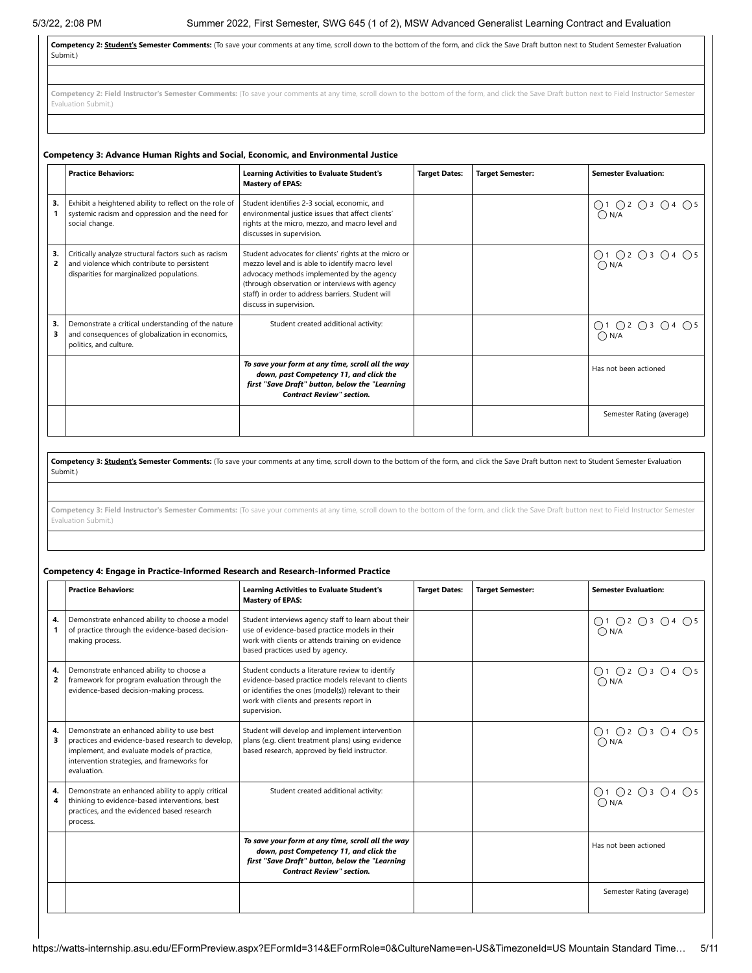**Competency 2: Student's Semester Comments:** (To save your comments at any time, scroll down to the bottom of the form, and click the Save Draft button next to Student Semester Evaluation Submit.)

Competency 2: Field Instructor's Semester Comments: (To save your comments at any time, scroll down to the bottom of the form, and click the Save Draft button next to Field Instructor Semester Evaluation Submit.)

#### **Competency 3: Advance Human Rights and Social, Economic, and Environmental Justice Practice Behaviors: Learning Activities to Evaluate Student's Mastery of EPAS: Target Dates: Target Semester: Semester Evaluation: 3. 1** Exhibit a heightened ability to reflect on the role of systemic racism and oppression and the need for social change. Student identifies 2-3 social, economic, and environmental justice issues that affect clients' rights at the micro, mezzo, and macro level and discusses in supervision. ○1 ○2 ○3 ○4 ○5  $\bigcirc$  N/A **3. 2** Critically analyze structural factors such as racism and violence which contribute to persistent disparities for marginalized populations. Student advocates for clients' rights at the micro or mezzo level and is able to identify macro level advocacy methods implemented by the agency (through observation or interviews with agency staff) in order to address barriers. Student will discuss in supervision. O1 O2 O3 O4 O5  $\bigcirc$  N/A **3. 3** Demonstrate a critical understanding of the nature and consequences of globalization in economics, politics, and culture. Student created additional activity:  $\begin{vmatrix} 0 & 0 & 0 \\ 0 & 0 & 0 \end{vmatrix}$   $\begin{vmatrix} 0 & 0 & 0 \\ 0 & 0 & 0 \end{vmatrix}$   $\begin{vmatrix} 0 & 0 & 0 \\ 0 & 0 & 0 \end{vmatrix}$  $\bigcap N/A$ *To save your form at any time, scroll all the way down, past Competency 11, and click the first "Save Draft" button, below the "Learning Contract Review" section.* Has not been actioned Semester Rating (average)

Competency 3: **Student's Semester Comments:** (To save your comments at any time, scroll down to the bottom of the form, and click the Save Draft button next to Student Semester Evaluation Submit.)

Competency 3: Field Instructor's Semester Comments: (To save your comments at any time, scroll down to the bottom of the form, and click the Save Draft button next to Field Instructor Semester Evaluation Submit.)

### **Competency 4: Engage in Practice-Informed Research and Research-Informed Practice**

|         | <b>Practice Behaviors:</b>                                                                                                                                                                                    | <b>Learning Activities to Evaluate Student's</b><br><b>Mastery of EPAS:</b>                                                                                                                                               | <b>Target Dates:</b> | <b>Target Semester:</b> | <b>Semester Evaluation:</b>                    |
|---------|---------------------------------------------------------------------------------------------------------------------------------------------------------------------------------------------------------------|---------------------------------------------------------------------------------------------------------------------------------------------------------------------------------------------------------------------------|----------------------|-------------------------|------------------------------------------------|
| 4.      | Demonstrate enhanced ability to choose a model<br>of practice through the evidence-based decision-<br>making process.                                                                                         | Student interviews agency staff to learn about their<br>use of evidence-based practice models in their<br>work with clients or attends training on evidence<br>based practices used by agency.                            |                      |                         | ○1 ○2 ○3 ○4 ○5<br>$\bigcap N/A$                |
| 4.<br>2 | Demonstrate enhanced ability to choose a<br>framework for program evaluation through the<br>evidence-based decision-making process.                                                                           | Student conducts a literature review to identify<br>evidence-based practice models relevant to clients<br>or identifies the ones (model(s)) relevant to their<br>work with clients and presents report in<br>supervision. |                      |                         | $O1$ $O2$ $O3$ $O4$ $O5$<br>$\overline{O}$ N/A |
| 4.<br>з | Demonstrate an enhanced ability to use best<br>practices and evidence-based research to develop,<br>implement, and evaluate models of practice,<br>intervention strategies, and frameworks for<br>evaluation. | Student will develop and implement intervention<br>plans (e.g. client treatment plans) using evidence<br>based research, approved by field instructor.                                                                    |                      |                         | 01 02 03 04 05<br>0N/A                         |
| 4.      | Demonstrate an enhanced ability to apply critical<br>thinking to evidence-based interventions, best<br>practices, and the evidenced based research<br>process.                                                | Student created additional activity:                                                                                                                                                                                      |                      |                         | ○1 ○2 ○3 ○4 ○5<br>$\overline{O}$ N/A           |
|         |                                                                                                                                                                                                               | To save your form at any time, scroll all the way<br>down, past Competency 11, and click the<br>first "Save Draft" button, below the "Learning<br><b>Contract Review" section.</b>                                        |                      |                         | Has not been actioned                          |
|         |                                                                                                                                                                                                               |                                                                                                                                                                                                                           |                      |                         | Semester Rating (average)                      |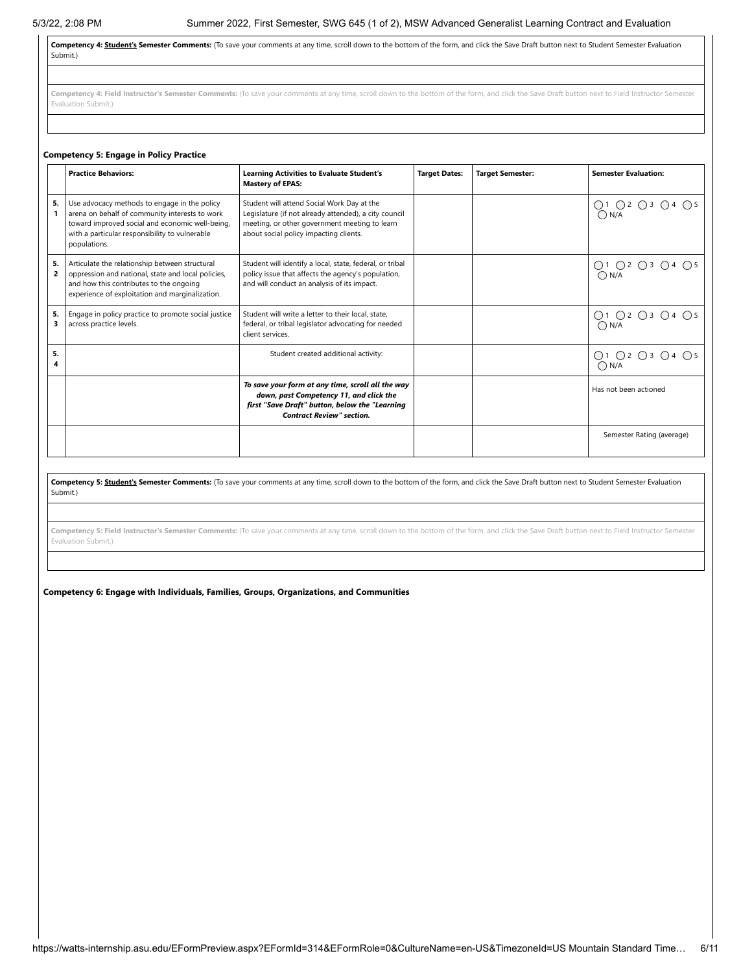**Competency 4: Student's Semester Comments:** (To save your comments at any time, scroll down to the bottom of the form, and click the Save Draft button next to Student Semester Evaluation Submit.)

Competency 4: Field Instructor's Semester Comments: (To save your comments at any time, scroll down to the bottom of the form, and click the Save Draft button next to Field Instructor Semester Evaluation Submit.)

### **Competency 5: Engage in Policy Practice**

|         | <b>Practice Behaviors:</b>                                                                                                                                                                                          | <b>Learning Activities to Evaluate Student's</b><br><b>Mastery of EPAS:</b>                                                                                                                    | <b>Target Dates:</b> | <b>Target Semester:</b> | <b>Semester Evaluation:</b>               |
|---------|---------------------------------------------------------------------------------------------------------------------------------------------------------------------------------------------------------------------|------------------------------------------------------------------------------------------------------------------------------------------------------------------------------------------------|----------------------|-------------------------|-------------------------------------------|
| 5.      | Use advocacy methods to engage in the policy<br>arena on behalf of community interests to work<br>toward improved social and economic well-being,<br>with a particular responsibility to vulnerable<br>populations. | Student will attend Social Work Day at the<br>Legislature (if not already attended), a city council<br>meeting, or other government meeting to learn<br>about social policy impacting clients. |                      |                         | $O1$ $O2$ $O3$ $O4$ $O5$<br>$\bigcap N/A$ |
| 5.<br>2 | Articulate the relationship between structural<br>oppression and national, state and local policies,<br>and how this contributes to the ongoing<br>experience of exploitation and marginalization.                  | Student will identify a local, state, federal, or tribal<br>policy issue that affects the agency's population,<br>and will conduct an analysis of its impact.                                  |                      |                         | 01 02 03 04 05<br>0N/A                    |
| 5.<br>3 | Engage in policy practice to promote social justice<br>across practice levels.                                                                                                                                      | Student will write a letter to their local, state,<br>federal, or tribal legislator advocating for needed<br>client services.                                                                  |                      |                         | ○1 ○2 ○3 ○4 ○5<br>$\bigcap N/A$           |
| 5.      |                                                                                                                                                                                                                     | Student created additional activity:                                                                                                                                                           |                      |                         | Q1 Q2 Q3 Q4 Q5<br>$\bigcap N/A$           |
|         |                                                                                                                                                                                                                     | To save your form at any time, scroll all the way<br>down, past Competency 11, and click the<br>first "Save Draft" button, below the "Learning<br><b>Contract Review" section.</b>             |                      |                         | Has not been actioned                     |
|         |                                                                                                                                                                                                                     |                                                                                                                                                                                                |                      |                         | Semester Rating (average)                 |

Competency 5: Student's Semester Comments: (To save your comments at any time, scroll down to the bottom of the form, and click the Save Draft button next to Student Semester Evaluation Submit.)

Competency 5: Field Instructor's Semester Comments: (To save your comments at any time, scroll down to the bottom of the form, and click the Save Draft button next to Field Instructor Semester Evaluation Submit.)

**Competency 6: Engage with Individuals, Families, Groups, Organizations, and Communities**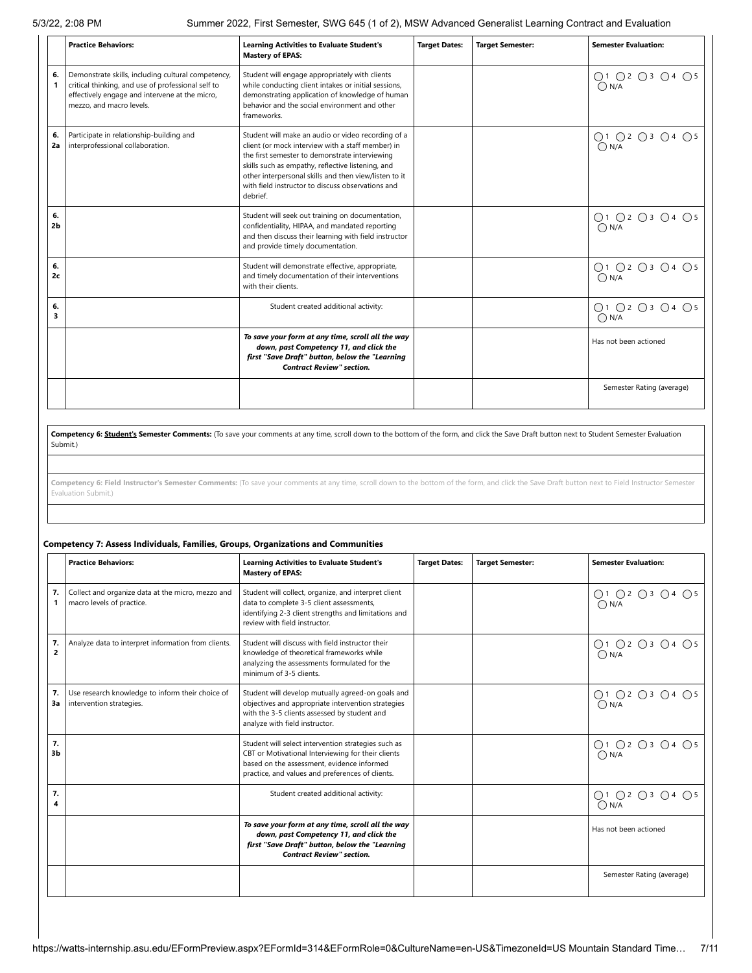5/3/22, 2:08 PM Summer 2022, First Semester, SWG 645 (1 of 2), MSW Advanced Generalist Learning Contract and Evaluation

|                      | <b>Practice Behaviors:</b>                                                                                                                                                             | <b>Learning Activities to Evaluate Student's</b><br><b>Mastery of EPAS:</b>                                                                                                                                                                                                                                                              | <b>Target Dates:</b> | <b>Target Semester:</b> | <b>Semester Evaluation:</b>     |
|----------------------|----------------------------------------------------------------------------------------------------------------------------------------------------------------------------------------|------------------------------------------------------------------------------------------------------------------------------------------------------------------------------------------------------------------------------------------------------------------------------------------------------------------------------------------|----------------------|-------------------------|---------------------------------|
| 6.<br>1              | Demonstrate skills, including cultural competency,<br>critical thinking, and use of professional self to<br>effectively engage and intervene at the micro,<br>mezzo, and macro levels. | Student will engage appropriately with clients<br>while conducting client intakes or initial sessions,<br>demonstrating application of knowledge of human<br>behavior and the social environment and other<br>frameworks.                                                                                                                |                      |                         | ○1 ○2 ○3 ○4 ○5<br>ON/A          |
| 6.<br>2a             | Participate in relationship-building and<br>interprofessional collaboration.                                                                                                           | Student will make an audio or video recording of a<br>client (or mock interview with a staff member) in<br>the first semester to demonstrate interviewing<br>skills such as empathy, reflective listening, and<br>other interpersonal skills and then view/listen to it<br>with field instructor to discuss observations and<br>debrief. |                      |                         | O1 O2 O3 O4 O5<br>$\bigcap N/A$ |
| 6.<br>2 <sub>b</sub> |                                                                                                                                                                                        | Student will seek out training on documentation,<br>confidentiality, HIPAA, and mandated reporting<br>and then discuss their learning with field instructor<br>and provide timely documentation.                                                                                                                                         |                      |                         | O1 O2 O3 O4 O5<br>$\bigcap N/A$ |
| 6.<br>2c             |                                                                                                                                                                                        | Student will demonstrate effective, appropriate,<br>and timely documentation of their interventions<br>with their clients.                                                                                                                                                                                                               |                      |                         | ○1 ○2 ○3 ○4 ○5<br>$\bigcap N/A$ |
| 6.<br>3              |                                                                                                                                                                                        | Student created additional activity:                                                                                                                                                                                                                                                                                                     |                      |                         | O1 O2 O3 O4 O5<br>$\bigcap N/A$ |
|                      |                                                                                                                                                                                        | To save your form at any time, scroll all the way<br>down, past Competency 11, and click the<br>first "Save Draft" button, below the "Learning<br><b>Contract Review" section.</b>                                                                                                                                                       |                      |                         | Has not been actioned           |
|                      |                                                                                                                                                                                        |                                                                                                                                                                                                                                                                                                                                          |                      |                         | Semester Rating (average)       |

Competency 6: Student's Semester Comments: (To save your comments at any time, scroll down to the bottom of the form, and click the Save Draft button next to Student Semester Evaluation Submit.)

Competency 6: Field Instructor's Semester Comments: (To save your comments at any time, scroll down to the bottom of the form, and click the Save Draft button next to Field Instructor Semester Evaluation Submit.)

### **Competency 7: Assess Individuals, Families, Groups, Organizations and Communities**

|                      | <b>Practice Behaviors:</b>                                                     | <b>Learning Activities to Evaluate Student's</b><br><b>Mastery of EPAS:</b>                                                                                                                                 | <b>Target Dates:</b> | <b>Target Semester:</b> | <b>Semester Evaluation:</b>     |
|----------------------|--------------------------------------------------------------------------------|-------------------------------------------------------------------------------------------------------------------------------------------------------------------------------------------------------------|----------------------|-------------------------|---------------------------------|
| 7.<br>1              | Collect and organize data at the micro, mezzo and<br>macro levels of practice. | Student will collect, organize, and interpret client<br>data to complete 3-5 client assessments,<br>identifying 2-3 client strengths and limitations and<br>review with field instructor.                   |                      |                         | ○1 ○2 ○3 ○4 ○5<br>$\bigcap N/A$ |
| 7.<br>$\overline{2}$ | Analyze data to interpret information from clients.                            | Student will discuss with field instructor their<br>knowledge of theoretical frameworks while<br>analyzing the assessments formulated for the<br>minimum of 3-5 clients.                                    |                      |                         | ○1 ○2 ○3 ○4 ○5<br>O N/A         |
| 7.<br>3a             | Use research knowledge to inform their choice of<br>intervention strategies.   | Student will develop mutually agreed-on goals and<br>objectives and appropriate intervention strategies<br>with the 3-5 clients assessed by student and<br>analyze with field instructor.                   |                      |                         | ○1 ○2 ○3 ○4 ○5<br>$\bigcap N/A$ |
| 7.<br>3 <sub>b</sub> |                                                                                | Student will select intervention strategies such as<br>CBT or Motivational Interviewing for their clients<br>based on the assessment, evidence informed<br>practice, and values and preferences of clients. |                      |                         | ○1 ○2 ○3 ○4 ○5<br>$\bigcap N/A$ |
| 7.<br>4              |                                                                                | Student created additional activity:                                                                                                                                                                        |                      |                         | ○1 ○2 ○3 ○4 ○5<br>$\bigcap N/A$ |
|                      |                                                                                | To save your form at any time, scroll all the way<br>down, past Competency 11, and click the<br>first "Save Draft" button, below the "Learning<br><b>Contract Review" section.</b>                          |                      |                         | Has not been actioned           |
|                      |                                                                                |                                                                                                                                                                                                             |                      |                         | Semester Rating (average)       |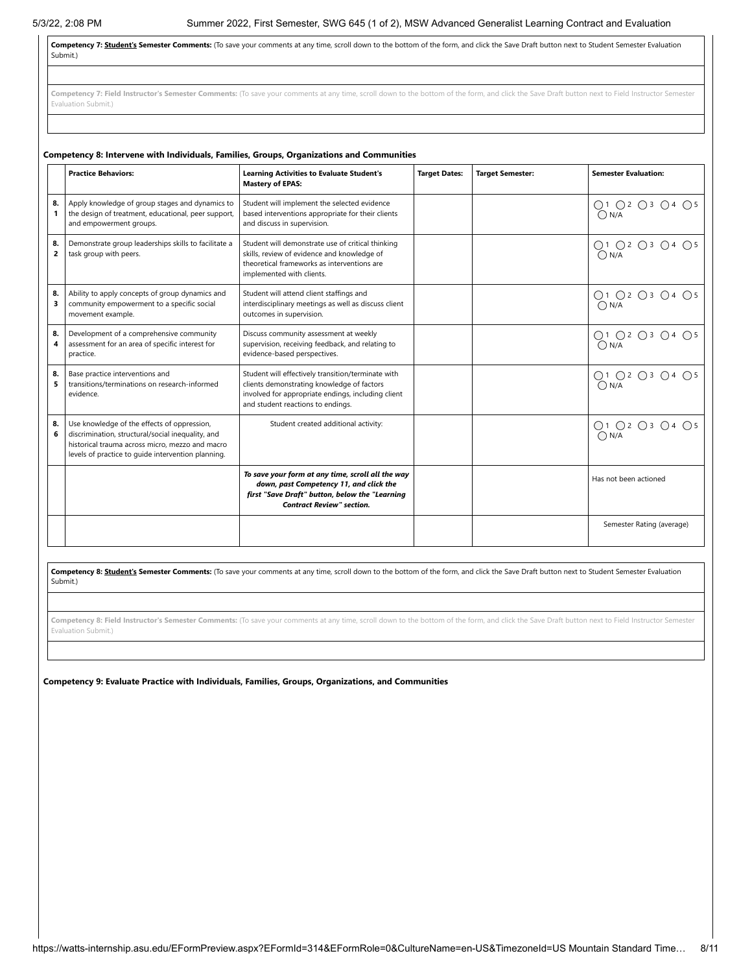Competency 7: **Student's Semester Comments:** (To save your comments at any time, scroll down to the bottom of the form, and click the Save Draft button next to Student Semester Evaluation Submit.)

Competency 7: Field Instructor's Semester Comments: (To save your comments at any time, scroll down to the bottom of the form, and click the Save Draft button next to Field Instructor Semester Evaluation Submit.)

|                      | <b>Practice Behaviors:</b>                                                                                                                                                                                | <b>Learning Activities to Evaluate Student's</b><br><b>Mastery of EPAS:</b>                                                                                                                 | <b>Target Dates:</b> | <b>Target Semester:</b> | <b>Semester Evaluation:</b>          |
|----------------------|-----------------------------------------------------------------------------------------------------------------------------------------------------------------------------------------------------------|---------------------------------------------------------------------------------------------------------------------------------------------------------------------------------------------|----------------------|-------------------------|--------------------------------------|
| 8.<br>1              | Apply knowledge of group stages and dynamics to<br>the design of treatment, educational, peer support,<br>and empowerment groups.                                                                         | Student will implement the selected evidence<br>based interventions appropriate for their clients<br>and discuss in supervision.                                                            |                      |                         | ○1 ○2 ○3 ○4 ○5<br>$\bigcap N/A$      |
| 8.<br>$\overline{2}$ | Demonstrate group leaderships skills to facilitate a<br>task group with peers.                                                                                                                            | Student will demonstrate use of critical thinking<br>skills, review of evidence and knowledge of<br>theoretical frameworks as interventions are<br>implemented with clients.                |                      |                         | ○1 ○2 ○3 ○4 ○5<br>$\bigcap N/A$      |
| 8.<br>3              | Ability to apply concepts of group dynamics and<br>community empowerment to a specific social<br>movement example.                                                                                        | Student will attend client staffings and<br>interdisciplinary meetings as well as discuss client<br>outcomes in supervision.                                                                |                      |                         | ○1 ○2 ○3 ○4 ○5<br>$\bigcap N/A$      |
| 8.<br>4              | Development of a comprehensive community<br>assessment for an area of specific interest for<br>practice.                                                                                                  | Discuss community assessment at weekly<br>supervision, receiving feedback, and relating to<br>evidence-based perspectives.                                                                  |                      |                         | ○1 ○2 ○3 ○4 ○5<br>$\bigcap N/A$      |
| 8.<br>5              | Base practice interventions and<br>transitions/terminations on research-informed<br>evidence.                                                                                                             | Student will effectively transition/terminate with<br>clients demonstrating knowledge of factors<br>involved for appropriate endings, including client<br>and student reactions to endings. |                      |                         | ○1 ○2 ○3 ○4 ○5<br>$\bigcap N/A$      |
| 8.<br>6              | Use knowledge of the effects of oppression,<br>discrimination, structural/social inequality, and<br>historical trauma across micro, mezzo and macro<br>levels of practice to quide intervention planning. | Student created additional activity:                                                                                                                                                        |                      |                         | ○1 ○2 ○3 ○4 ○5<br>$\overline{O}$ N/A |
|                      |                                                                                                                                                                                                           | To save your form at any time, scroll all the way<br>down, past Competency 11, and click the<br>first "Save Draft" button, below the "Learning<br><b>Contract Review" section.</b>          |                      |                         | Has not been actioned                |
|                      |                                                                                                                                                                                                           |                                                                                                                                                                                             |                      |                         | Semester Rating (average)            |

Competency 8: **Student's Semester Comments:** (To save your comments at any time, scroll down to the bottom of the form, and click the Save Draft button next to Student Semester Evaluation Submit.)

Competency 8: Field Instructor's Semester Comments: (To save your comments at any time, scroll down to the bottom of the form, and click the Save Draft button next to Field Instructor Semester Evaluation Submit.)

**Competency 9: Evaluate Practice with Individuals, Families, Groups, Organizations, and Communities**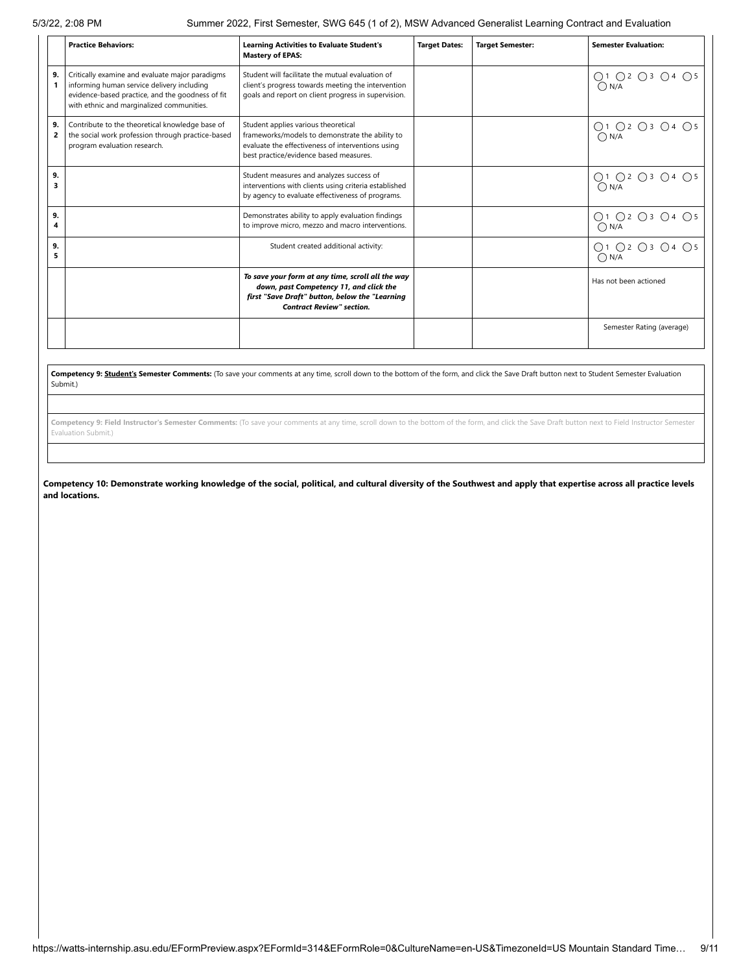5/3/22, 2:08 PM Summer 2022, First Semester, SWG 645 (1 of 2), MSW Advanced Generalist Learning Contract and Evaluation

|                    | <b>Practice Behaviors:</b>                                                                                                                                                                     | <b>Learning Activities to Evaluate Student's</b><br><b>Mastery of EPAS:</b>                                                                                                           | <b>Target Dates:</b> | <b>Target Semester:</b> | <b>Semester Evaluation:</b>     |
|--------------------|------------------------------------------------------------------------------------------------------------------------------------------------------------------------------------------------|---------------------------------------------------------------------------------------------------------------------------------------------------------------------------------------|----------------------|-------------------------|---------------------------------|
| 9.                 | Critically examine and evaluate major paradigms<br>informing human service delivery including<br>evidence-based practice, and the goodness of fit<br>with ethnic and marginalized communities. | Student will facilitate the mutual evaluation of<br>client's progress towards meeting the intervention<br>goals and report on client progress in supervision.                         |                      |                         | ○1 ○2 ○3 ○4 ○5<br>$\bigcap N/A$ |
| 9.<br>$\mathbf{2}$ | Contribute to the theoretical knowledge base of<br>the social work profession through practice-based<br>program evaluation research.                                                           | Student applies various theoretical<br>frameworks/models to demonstrate the ability to<br>evaluate the effectiveness of interventions using<br>best practice/evidence based measures. |                      |                         | ○1 ○2 ○3 ○4 ○5<br>$\bigcap N/A$ |
| 9.<br>3            |                                                                                                                                                                                                | Student measures and analyzes success of<br>interventions with clients using criteria established<br>by agency to evaluate effectiveness of programs.                                 |                      |                         | ○1 ○2 ○3 ○4 ○5<br>$\bigcap N/A$ |
| 9.<br>4            |                                                                                                                                                                                                | Demonstrates ability to apply evaluation findings<br>to improve micro, mezzo and macro interventions.                                                                                 |                      |                         | ○1 ○2 ○3 ○4 ○5<br>$\bigcap N/A$ |
| 9.<br>5            |                                                                                                                                                                                                | Student created additional activity:                                                                                                                                                  |                      |                         | O1 O2 O3 O4 O5<br>$\bigcap N/A$ |
|                    |                                                                                                                                                                                                | To save your form at any time, scroll all the way<br>down, past Competency 11, and click the<br>first "Save Draft" button, below the "Learning<br><b>Contract Review" section.</b>    |                      |                         | Has not been actioned           |
|                    |                                                                                                                                                                                                |                                                                                                                                                                                       |                      |                         | Semester Rating (average)       |

**Competency 9: Student's Semester Comments:** (To save your comments at any time, scroll down to the bottom of the form, and click the Save Draft button next to Student Semester Evaluation Submit.)

**Competency 9: Field Instructor's Semester Comments:** (To save your comments at any time, scroll down to the bottom of the form, and click the Save Draft button next to Field Instructor Semester Evaluation Submit.)

Competency 10: Demonstrate working knowledge of the social, political, and cultural diversity of the Southwest and apply that expertise across all practice levels **and locations.**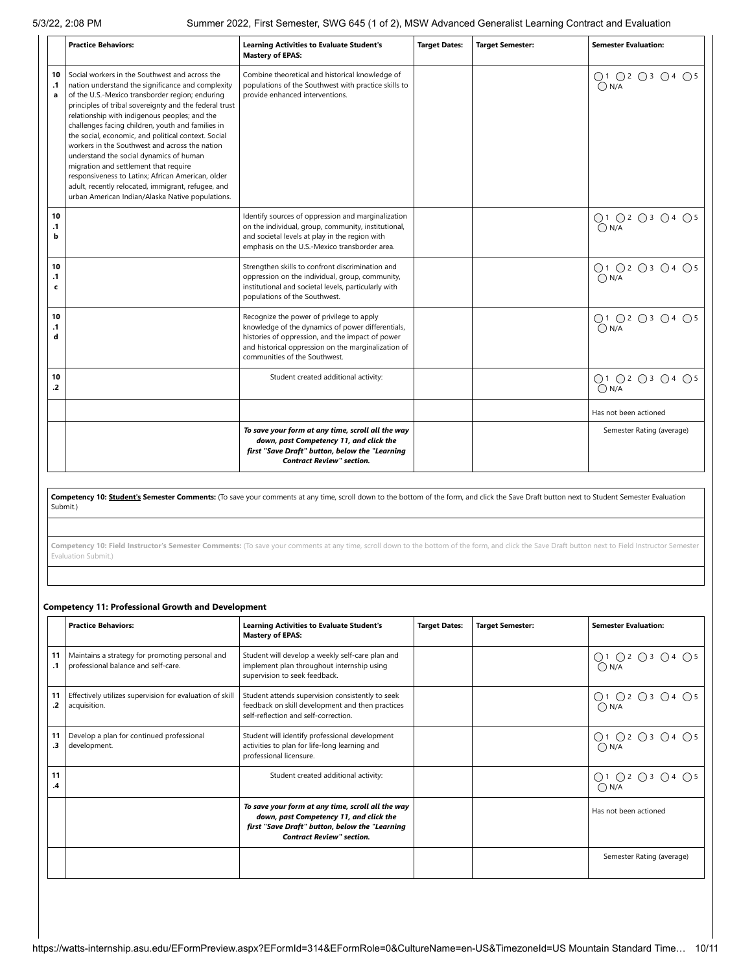|                                 | <b>Practice Behaviors:</b>                                                                                                                                                                                                                                                                                                                                                                                                                                                                                                                                                                                                                                                         | <b>Learning Activities to Evaluate Student's</b><br><b>Mastery of EPAS:</b>                                                                                                                                                                | <b>Target Dates:</b> | <b>Target Semester:</b> | <b>Semester Evaluation:</b>     |  |  |
|---------------------------------|------------------------------------------------------------------------------------------------------------------------------------------------------------------------------------------------------------------------------------------------------------------------------------------------------------------------------------------------------------------------------------------------------------------------------------------------------------------------------------------------------------------------------------------------------------------------------------------------------------------------------------------------------------------------------------|--------------------------------------------------------------------------------------------------------------------------------------------------------------------------------------------------------------------------------------------|----------------------|-------------------------|---------------------------------|--|--|
| 10<br>$\cdot$ 1<br>$\mathbf{a}$ | Social workers in the Southwest and across the<br>nation understand the significance and complexity<br>of the U.S.-Mexico transborder region; enduring<br>principles of tribal sovereignty and the federal trust<br>relationship with indigenous peoples; and the<br>challenges facing children, youth and families in<br>the social, economic, and political context. Social<br>workers in the Southwest and across the nation<br>understand the social dynamics of human<br>migration and settlement that require<br>responsiveness to Latinx; African American, older<br>adult, recently relocated, immigrant, refugee, and<br>urban American Indian/Alaska Native populations. | Combine theoretical and historical knowledge of<br>populations of the Southwest with practice skills to<br>provide enhanced interventions.                                                                                                 |                      |                         | ○1 ○2 ○3 ○4 ○5<br>$\bigcap N/A$ |  |  |
| 10<br>$\cdot$ 1<br>b            |                                                                                                                                                                                                                                                                                                                                                                                                                                                                                                                                                                                                                                                                                    | Identify sources of oppression and marginalization<br>on the individual, group, community, institutional,<br>and societal levels at play in the region with<br>emphasis on the U.S.-Mexico transborder area.                               |                      |                         | ○1 ○2 ○3 ○4 ○5<br>$\bigcap N/A$ |  |  |
| 10<br>$\cdot$ 1<br>$\mathbf c$  |                                                                                                                                                                                                                                                                                                                                                                                                                                                                                                                                                                                                                                                                                    | Strengthen skills to confront discrimination and<br>oppression on the individual, group, community,<br>institutional and societal levels, particularly with<br>populations of the Southwest.                                               |                      |                         | ○1 ○2 ○3 ○4 ○5<br>$\bigcap N/A$ |  |  |
| 10<br>$\cdot$ 1<br>d            |                                                                                                                                                                                                                                                                                                                                                                                                                                                                                                                                                                                                                                                                                    | Recognize the power of privilege to apply<br>knowledge of the dynamics of power differentials,<br>histories of oppression, and the impact of power<br>and historical oppression on the marginalization of<br>communities of the Southwest. |                      |                         | ○1 ○2 ○3 ○4 ○5<br>$\bigcap N/A$ |  |  |
| 10<br>$\cdot$                   |                                                                                                                                                                                                                                                                                                                                                                                                                                                                                                                                                                                                                                                                                    | Student created additional activity:                                                                                                                                                                                                       |                      |                         | ○1 ○2 ○3 ○4 ○5<br>$\bigcap N/A$ |  |  |
|                                 |                                                                                                                                                                                                                                                                                                                                                                                                                                                                                                                                                                                                                                                                                    |                                                                                                                                                                                                                                            |                      |                         | Has not been actioned           |  |  |
|                                 |                                                                                                                                                                                                                                                                                                                                                                                                                                                                                                                                                                                                                                                                                    | To save your form at any time, scroll all the way<br>down, past Competency 11, and click the<br>first "Save Draft" button, below the "Learning<br><b>Contract Review" section.</b>                                                         |                      |                         | Semester Rating (average)       |  |  |
|                                 |                                                                                                                                                                                                                                                                                                                                                                                                                                                                                                                                                                                                                                                                                    |                                                                                                                                                                                                                                            |                      |                         |                                 |  |  |
|                                 | Competency 10: <b>Student's Semester Comments:</b> (To save your comments at any time, scroll down to the bottom of the form, and click the Save Draft button next to Student Semester Evaluation<br>Submit.)                                                                                                                                                                                                                                                                                                                                                                                                                                                                      |                                                                                                                                                                                                                                            |                      |                         |                                 |  |  |
|                                 |                                                                                                                                                                                                                                                                                                                                                                                                                                                                                                                                                                                                                                                                                    |                                                                                                                                                                                                                                            |                      |                         |                                 |  |  |
|                                 | Evaluation Submit.)                                                                                                                                                                                                                                                                                                                                                                                                                                                                                                                                                                                                                                                                | Competency 10: Field Instructor's Semester Comments: (To save your comments at any time, scroll down to the bottom of the form, and click the Save Draft button next to Field Instructor Semester                                          |                      |                         |                                 |  |  |
|                                 |                                                                                                                                                                                                                                                                                                                                                                                                                                                                                                                                                                                                                                                                                    |                                                                                                                                                                                                                                            |                      |                         |                                 |  |  |
|                                 |                                                                                                                                                                                                                                                                                                                                                                                                                                                                                                                                                                                                                                                                                    |                                                                                                                                                                                                                                            |                      |                         |                                 |  |  |

### **Competency 11: Professional Growth and Development**

|                 | <b>Practice Behaviors:</b>                                                             | <b>Learning Activities to Evaluate Student's</b><br><b>Mastery of EPAS:</b>                                                                                                        | <b>Target Dates:</b> | <b>Target Semester:</b> | <b>Semester Evaluation:</b>     |
|-----------------|----------------------------------------------------------------------------------------|------------------------------------------------------------------------------------------------------------------------------------------------------------------------------------|----------------------|-------------------------|---------------------------------|
| 11<br>$\cdot$ 1 | Maintains a strategy for promoting personal and<br>professional balance and self-care. | Student will develop a weekly self-care plan and<br>implement plan throughout internship using<br>supervision to seek feedback.                                                    |                      |                         | ○1 ○2 ○3 ○4 ○5<br>$\bigcap N/A$ |
| 11<br>.2        | Effectively utilizes supervision for evaluation of skill<br>acquisition.               | Student attends supervision consistently to seek<br>feedback on skill development and then practices<br>self-reflection and self-correction.                                       |                      |                         | ○1 ○2 ○3 ○4 ○5<br>$\bigcap N/A$ |
| 11<br>.3        | Develop a plan for continued professional<br>development.                              | Student will identify professional development<br>activities to plan for life-long learning and<br>professional licensure.                                                         |                      |                         | ○1 ○2 ○3 ○4 ○5<br>$\bigcap N/A$ |
| 11<br>.4        |                                                                                        | Student created additional activity:                                                                                                                                               |                      |                         | ○1 ○2 ○3 ○4 ○5<br>$\bigcap N/A$ |
|                 |                                                                                        | To save your form at any time, scroll all the way<br>down, past Competency 11, and click the<br>first "Save Draft" button, below the "Learning<br><b>Contract Review" section.</b> |                      |                         | Has not been actioned           |
|                 |                                                                                        |                                                                                                                                                                                    |                      |                         | Semester Rating (average)       |